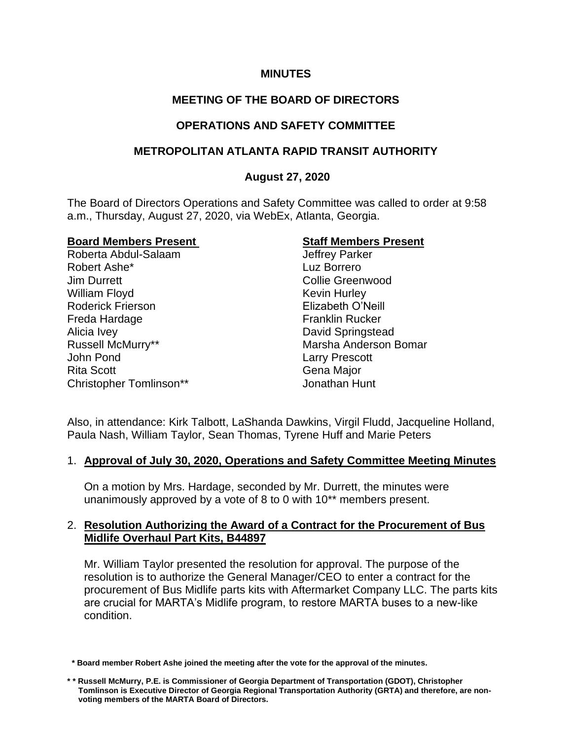## **MINUTES**

# **MEETING OF THE BOARD OF DIRECTORS**

# **OPERATIONS AND SAFETY COMMITTEE**

# **METROPOLITAN ATLANTA RAPID TRANSIT AUTHORITY**

# **August 27, 2020**

The Board of Directors Operations and Safety Committee was called to order at 9:58 a.m., Thursday, August 27, 2020, via WebEx, Atlanta, Georgia.

#### **Board Members Present Staff Members Present**

Roberta Abdul-Salaam Jeffrey Parker Robert Ashe\* **Luz Borrero** Jim Durrett Collie Greenwood William Floyd **Kevin Hurley** Roderick Frierson **Elizabeth O'Neill** Freda Hardage Franklin Rucker Alicia Ivey **David Springstead** Russell McMurry\*\* The Controller of Marsha Anderson Bomar John Pond Larry Prescott Rita Scott **Gena Major** Gena Major Christopher Tomlinson\*\* Jonathan Hunt

Also, in attendance: Kirk Talbott, LaShanda Dawkins, Virgil Fludd, Jacqueline Holland, Paula Nash, William Taylor, Sean Thomas, Tyrene Huff and Marie Peters

## 1. **Approval of July 30, 2020, Operations and Safety Committee Meeting Minutes**

On a motion by Mrs. Hardage, seconded by Mr. Durrett, the minutes were unanimously approved by a vote of 8 to 0 with 10\*\* members present.

## 2. **Resolution Authorizing the Award of a Contract for the Procurement of Bus Midlife Overhaul Part Kits, B44897**

Mr. William Taylor presented the resolution for approval. The purpose of the resolution is to authorize the General Manager/CEO to enter a contract for the procurement of Bus Midlife parts kits with Aftermarket Company LLC. The parts kits are crucial for MARTA's Midlife program, to restore MARTA buses to a new-like condition.

 **<sup>\*</sup> Board member Robert Ashe joined the meeting after the vote for the approval of the minutes.** 

**<sup>\* \*</sup> Russell McMurry, P.E. is Commissioner of Georgia Department of Transportation (GDOT), Christopher Tomlinson is Executive Director of Georgia Regional Transportation Authority (GRTA) and therefore, are non voting members of the MARTA Board of Directors.**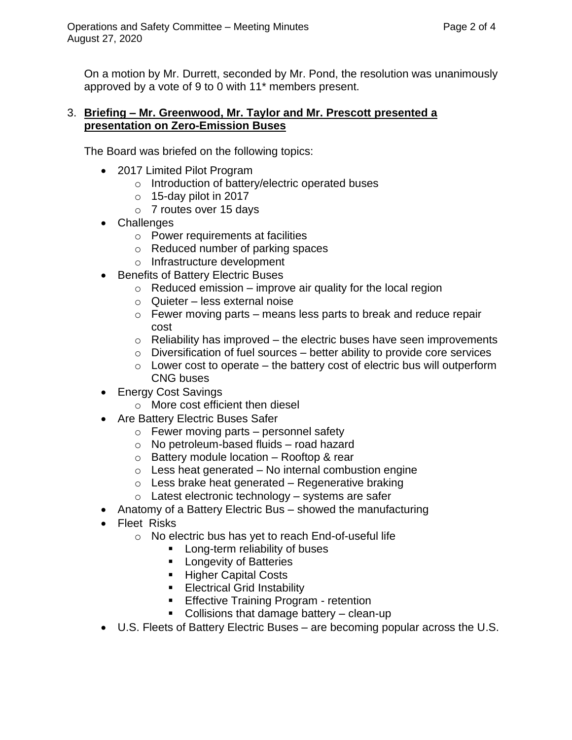On a motion by Mr. Durrett, seconded by Mr. Pond, the resolution was unanimously approved by a vote of 9 to 0 with 11\* members present.

## 3. **Briefing – Mr. Greenwood, Mr. Taylor and Mr. Prescott presented a presentation on Zero-Emission Buses**

The Board was briefed on the following topics:

- 2017 Limited Pilot Program
	- o Introduction of battery/electric operated buses
	- $\circ$  15-day pilot in 2017
	- o 7 routes over 15 days
- Challenges
	- o Power requirements at facilities
	- o Reduced number of parking spaces
	- o Infrastructure development
- Benefits of Battery Electric Buses
	- $\circ$  Reduced emission improve air quality for the local region
	- o Quieter less external noise
	- $\circ$  Fewer moving parts means less parts to break and reduce repair cost
	- $\circ$  Reliability has improved the electric buses have seen improvements
	- $\circ$  Diversification of fuel sources better ability to provide core services
	- $\circ$  Lower cost to operate the battery cost of electric bus will outperform CNG buses
- Energy Cost Savings
	- o More cost efficient then diesel
- Are Battery Electric Buses Safer
	- o Fewer moving parts personnel safety
	- o No petroleum-based fluids road hazard
	- $\circ$  Battery module location Rooftop & rear
	- $\circ$  Less heat generated No internal combustion engine
	- $\circ$  Less brake heat generated Regenerative braking
	- $\circ$  Latest electronic technology systems are safer
- Anatomy of a Battery Electric Bus showed the manufacturing
- Fleet Risks
	- o No electric bus has yet to reach End-of-useful life
		- Long-term reliability of buses
			- Longevity of Batteries
			- Higher Capital Costs
			- **Electrical Grid Instability**
			- **Effective Training Program retention**
			- Collisions that damage battery clean-up
- U.S. Fleets of Battery Electric Buses are becoming popular across the U.S.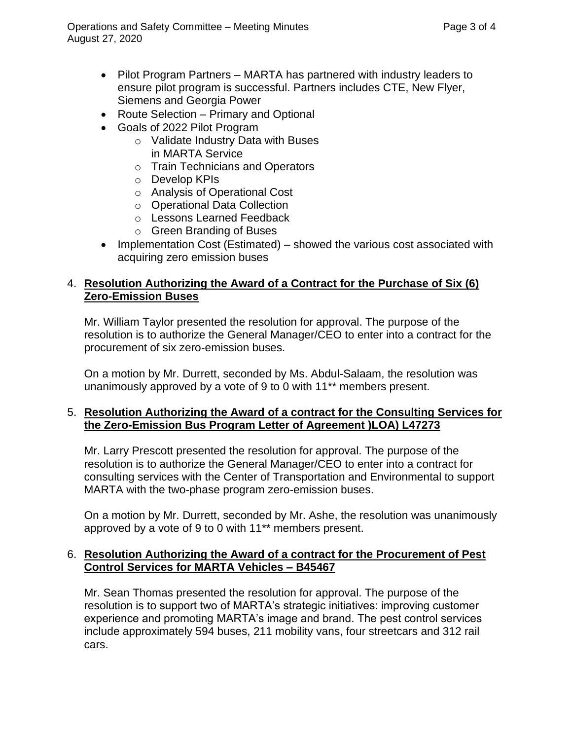- Pilot Program Partners MARTA has partnered with industry leaders to ensure pilot program is successful. Partners includes CTE, New Flyer, Siemens and Georgia Power
- Route Selection Primary and Optional
- Goals of 2022 Pilot Program
	- o Validate Industry Data with Buses in MARTA Service
	- o Train Technicians and Operators
	- o Develop KPIs
	- o Analysis of Operational Cost
	- o Operational Data Collection
	- o Lessons Learned Feedback
	- o Green Branding of Buses
- Implementation Cost (Estimated) showed the various cost associated with acquiring zero emission buses

# 4. **Resolution Authorizing the Award of a Contract for the Purchase of Six (6) Zero-Emission Buses**

Mr. William Taylor presented the resolution for approval. The purpose of the resolution is to authorize the General Manager/CEO to enter into a contract for the procurement of six zero-emission buses.

On a motion by Mr. Durrett, seconded by Ms. Abdul-Salaam, the resolution was unanimously approved by a vote of 9 to 0 with 11\*\* members present.

## 5. **Resolution Authorizing the Award of a contract for the Consulting Services for the Zero-Emission Bus Program Letter of Agreement )LOA) L47273**

Mr. Larry Prescott presented the resolution for approval. The purpose of the resolution is to authorize the General Manager/CEO to enter into a contract for consulting services with the Center of Transportation and Environmental to support MARTA with the two-phase program zero-emission buses.

On a motion by Mr. Durrett, seconded by Mr. Ashe, the resolution was unanimously approved by a vote of 9 to 0 with 11\*\* members present.

## 6. **Resolution Authorizing the Award of a contract for the Procurement of Pest Control Services for MARTA Vehicles – B45467**

Mr. Sean Thomas presented the resolution for approval. The purpose of the resolution is to support two of MARTA's strategic initiatives: improving customer experience and promoting MARTA's image and brand. The pest control services include approximately 594 buses, 211 mobility vans, four streetcars and 312 rail cars.